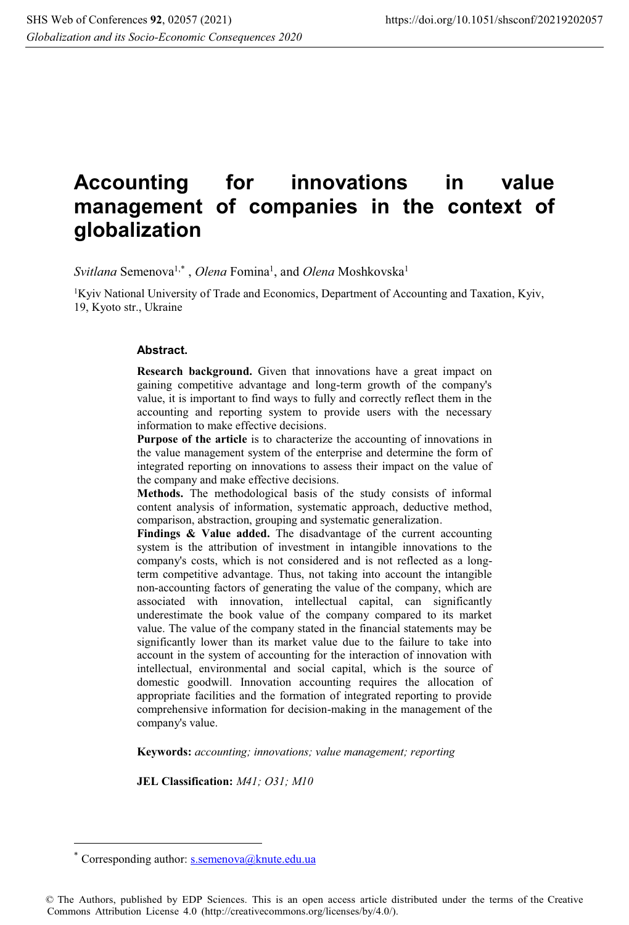# **Accounting for innovations in value management of companies in the context of globalization**

Svitlana Semenova<sup>1,\*</sup>, *Olena* Fomina<sup>1</sup>, and *Olena* Moshkovska<sup>1</sup>

<sup>1</sup>Kyiv National University of Trade and Economics, Department of Accounting and Taxation, Kyiv, 19, Kyoto str., Ukraine

#### **Abstract.**

**Research background.** Given that innovations have a great impact on gaining competitive advantage and long-term growth of the company's value, it is important to find ways to fully and correctly reflect them in the accounting and reporting system to provide users with the necessary information to make effective decisions.

**Purpose of the article** is to characterize the accounting of innovations in the value management system of the enterprise and determine the form of integrated reporting on innovations to assess their impact on the value of the company and make effective decisions.

**Methods.** The methodological basis of the study consists of informal content analysis of information, systematic approach, deductive method, comparison, abstraction, grouping and systematic generalization.

**Findings & Value added.** The disadvantage of the current accounting system is the attribution of investment in intangible innovations to the company's costs, which is not considered and is not reflected as a longterm competitive advantage. Thus, not taking into account the intangible non-accounting factors of generating the value of the company, which are associated with innovation, intellectual capital, can significantly underestimate the book value of the company compared to its market value. The value of the company stated in the financial statements may be significantly lower than its market value due to the failure to take into account in the system of accounting for the interaction of innovation with intellectual, environmental and social capital, which is the source of domestic goodwill. Innovation accounting requires the allocation of appropriate facilities and the formation of integrated reporting to provide comprehensive information for decision-making in the management of the company's value.

**Keywords:** *accounting; innovations; value management; reporting*

**JEL Classification:** *М41; О31; М10*

 $\overline{a}$ 

<sup>\*</sup> Corresponding author: s.semenova@knute.edu.ua

<sup>©</sup> The Authors, published by EDP Sciences. This is an open access article distributed under the terms of the Creative Commons Attribution License 4.0 (http://creativecommons.org/licenses/by/4.0/).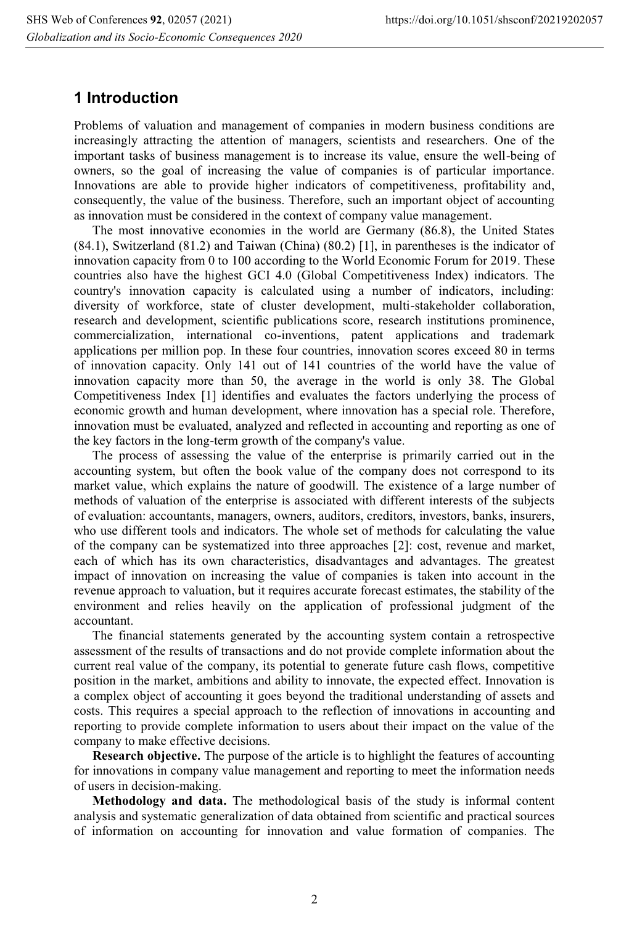## **1 Introduction**

Problems of valuation and management of companies in modern business conditions are increasingly attracting the attention of managers, scientists and researchers. One of the important tasks of business management is to increase its value, ensure the well-being of owners, so the goal of increasing the value of companies is of particular importance. Innovations are able to provide higher indicators of competitiveness, profitability and, consequently, the value of the business. Therefore, such an important object of accounting as innovation must be considered in the context of company value management.

The most innovative economies in the world are Germany (86.8), the United States (84.1), Switzerland (81.2) and Taiwan (China) (80.2) [1], in parentheses is the indicator of innovation capacity from 0 to 100 according to the World Economic Forum for 2019. These countries also have the highest GCI 4.0 (Global Competitiveness Index) indicators. The country's innovation capacity is calculated using a number of indicators, including: diversity of workforce, state of cluster development, multi-stakeholder collaboration, research and development, scientific publications score, research institutions prominence, commercialization, international co-inventions, patent applications and trademark applications per million pop. In these four countries, innovation scores exceed 80 in terms of innovation capacity. Only 141 out of 141 countries of the world have the value of innovation capacity more than 50, the average in the world is only 38. The Global Competitiveness Index [1] identifies and evaluates the factors underlying the process of economic growth and human development, where innovation has a special role. Therefore, innovation must be evaluated, analyzed and reflected in accounting and reporting as one of the key factors in the long-term growth of the company's value.

The process of assessing the value of the enterprise is primarily carried out in the accounting system, but often the book value of the company does not correspond to its market value, which explains the nature of goodwill. The existence of a large number of methods of valuation of the enterprise is associated with different interests of the subjects of evaluation: accountants, managers, owners, auditors, creditors, investors, banks, insurers, who use different tools and indicators. The whole set of methods for calculating the value of the company can be systematized into three approaches [2]: cost, revenue and market, each of which has its own characteristics, disadvantages and advantages. The greatest impact of innovation on increasing the value of companies is taken into account in the revenue approach to valuation, but it requires accurate forecast estimates, the stability of the environment and relies heavily on the application of professional judgment of the accountant.

The financial statements generated by the accounting system contain a retrospective assessment of the results of transactions and do not provide complete information about the current real value of the company, its potential to generate future cash flows, competitive position in the market, ambitions and ability to innovate, the expected effect. Innovation is a complex object of accounting it goes beyond the traditional understanding of assets and costs. This requires a special approach to the reflection of innovations in accounting and reporting to provide complete information to users about their impact on the value of the company to make effective decisions.

**Research objective.** The purpose of the article is to highlight the features of accounting for innovations in company value management and reporting to meet the information needs of users in decision-making.

**Methodology and data.** The methodological basis of the study is informal content analysis and systematic generalization of data obtained from scientific and practical sources of information on accounting for innovation and value formation of companies. The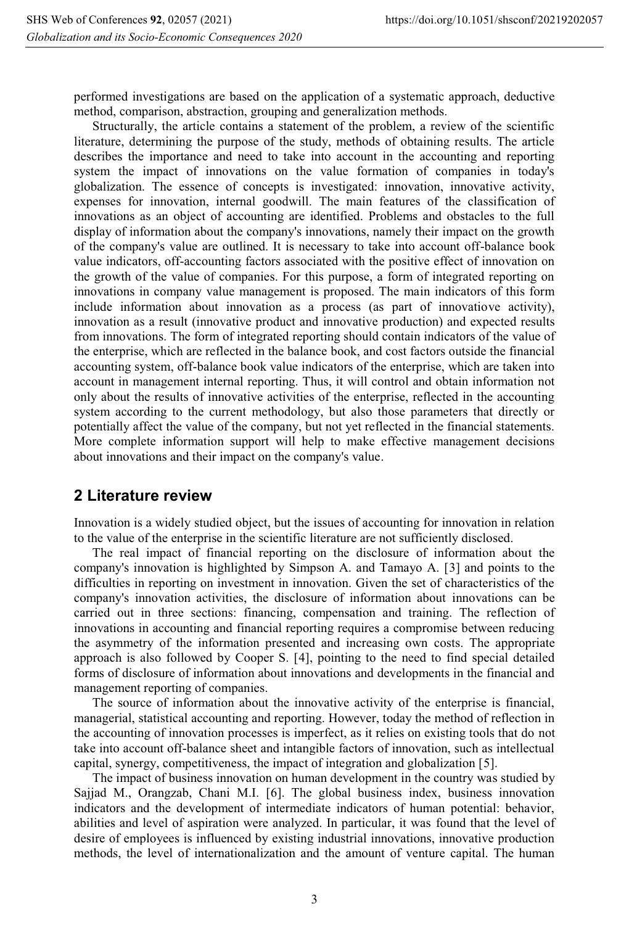performed investigations are based on the application of a systematic approach, deductive method, comparison, abstraction, grouping and generalization methods.

Structurally, the article contains a statement of the problem, a review of the scientific literature, determining the purpose of the study, methods of obtaining results. The article describes the importance and need to take into account in the accounting and reporting system the impact of innovations on the value formation of companies in today's globalization. The essence of concepts is investigated: innovation, innovative activity, expenses for innovation, internal goodwill. The main features of the classification of innovations as an object of accounting are identified. Problems and obstacles to the full display of information about the company's innovations, namely their impact on the growth of the company's value are outlined. It is necessary to take into account off-balance book value indicators, off-accounting factors associated with the positive effect of innovation on the growth of the value of companies. For this purpose, a form of integrated reporting on innovations in company value management is proposed. The main indicators of this form include information about innovation as a process (as part of innovatiove activity), innovation as a result (innovative product and innovative production) and expected results from innovations. The form of integrated reporting should contain indicators of the value of the enterprise, which are reflected in the balance book, and cost factors outside the financial accounting system, off-balance book value indicators of the enterprise, which are taken into account in management internal reporting. Thus, it will control and obtain information not only about the results of innovative activities of the enterprise, reflected in the accounting system according to the current methodology, but also those parameters that directly or potentially affect the value of the company, but not yet reflected in the financial statements. More complete information support will help to make effective management decisions about innovations and their impact on the company's value.

### **2 Literature review**

Innovation is a widely studied object, but the issues of accounting for innovation in relation to the value of the enterprise in the scientific literature are not sufficiently disclosed.

The real impact of financial reporting on the disclosure of information about the company's innovation is highlighted by Simpson A. and Tamayo A. [3] and points to the difficulties in reporting on investment in innovation. Given the set of characteristics of the company's innovation activities, the disclosure of information about innovations can be carried out in three sections: financing, compensation and training. The reflection of innovations in accounting and financial reporting requires a compromise between reducing the asymmetry of the information presented and increasing own costs. The appropriate approach is also followed by Cooper S. [4], pointing to the need to find special detailed forms of disclosure of information about innovations and developments in the financial and management reporting of companies.

The source of information about the innovative activity of the enterprise is financial, managerial, statistical accounting and reporting. However, today the method of reflection in the accounting of innovation processes is imperfect, as it relies on existing tools that do not take into account off-balance sheet and intangible factors of innovation, such as intellectual capital, synergy, competitiveness, the impact of integration and globalization [5].

The impact of business innovation on human development in the country was studied by Sajjad M., Orangzab, Chani M.I. [6]. The global business index, business innovation indicators and the development of intermediate indicators of human potential: behavior, abilities and level of aspiration were analyzed. In particular, it was found that the level of desire of employees is influenced by existing industrial innovations, innovative production methods, the level of internationalization and the amount of venture capital. The human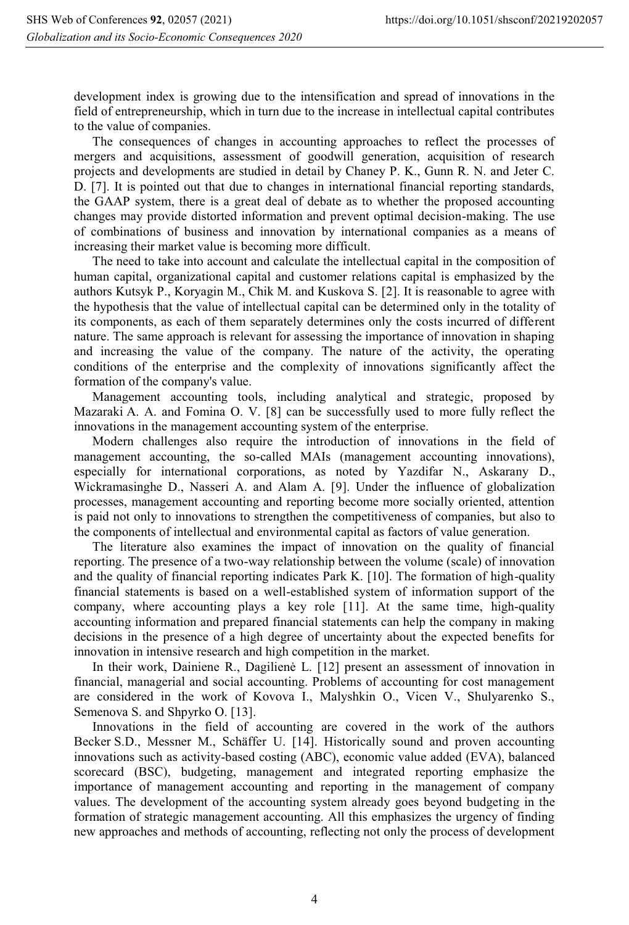development index is growing due to the intensification and spread of innovations in the field of entrepreneurship, which in turn due to the increase in intellectual capital contributes to the value of companies.

The consequences of changes in accounting approaches to reflect the processes of mergers and acquisitions, assessment of goodwill generation, acquisition of research projects and developments are studied in detail by Chaney P. K., Gunn R. N. and Jeter C. D. [7]. It is pointed out that due to changes in international financial reporting standards, the GAAP system, there is a great deal of debate as to whether the proposed accounting changes may provide distorted information and prevent optimal decision-making. The use of combinations of business and innovation by international companies as a means of increasing their market value is becoming more difficult.

The need to take into account and calculate the intellectual capital in the composition of human capital, organizational capital and customer relations capital is emphasized by the authors Kutsyk P., Koryagin M., Chik M. and Kuskova S. [2]. It is reasonable to agree with the hypothesis that the value of intellectual capital can be determined only in the totality of its components, as each of them separately determines only the costs incurred of different nature. The same approach is relevant for assessing the importance of innovation in shaping and increasing the value of the company. The nature of the activity, the operating conditions of the enterprise and the complexity of innovations significantly affect the formation of the company's value.

Management accounting tools, including analytical and strategic, proposed by Mazaraki A. A. and Fomina O. V. [8] can be successfully used to more fully reflect the innovations in the management accounting system of the enterprise.

Modern challenges also require the introduction of innovations in the field of management accounting, the so-called MAIs (management accounting innovations), especially for international corporations, as noted by Yazdifar N., Askarany D., Wickramasinghe D., Nasseri A. and Alam A. [9]. Under the influence of globalization processes, management accounting and reporting become more socially oriented, attention is paid not only to innovations to strengthen the competitiveness of companies, but also to the components of intellectual and environmental capital as factors of value generation.

The literature also examines the impact of innovation on the quality of financial reporting. The presence of a two-way relationship between the volume (scale) of innovation and the quality of financial reporting indicates Park K. [10]. The formation of high-quality financial statements is based on a well-established system of information support of the company, where accounting plays a key role [11]. At the same time, high-quality accounting information and prepared financial statements can help the company in making decisions in the presence of a high degree of uncertainty about the expected benefits for innovation in intensive research and high competition in the market.

In their work, Dainiene R., Dagilienė L. [12] present an assessment of innovation in financial, managerial and social accounting. Problems of accounting for cost management are considered in the work of Kovova I., Malyshkin O., Vicen V., Shulyarenko S., Semenova S. and Shpyrko O. [13].

Innovations in the field of accounting are covered in the work of the authors Becker S.D., Messner M., Schäffer U. [14]. Historically sound and proven accounting innovations such as activity-based costing (ABC), economic value added (EVA), balanced scorecard (BSC), budgeting, management and integrated reporting emphasize the importance of management accounting and reporting in the management of company values. The development of the accounting system already goes beyond budgeting in the formation of strategic management accounting. All this emphasizes the urgency of finding new approaches and methods of accounting, reflecting not only the process of development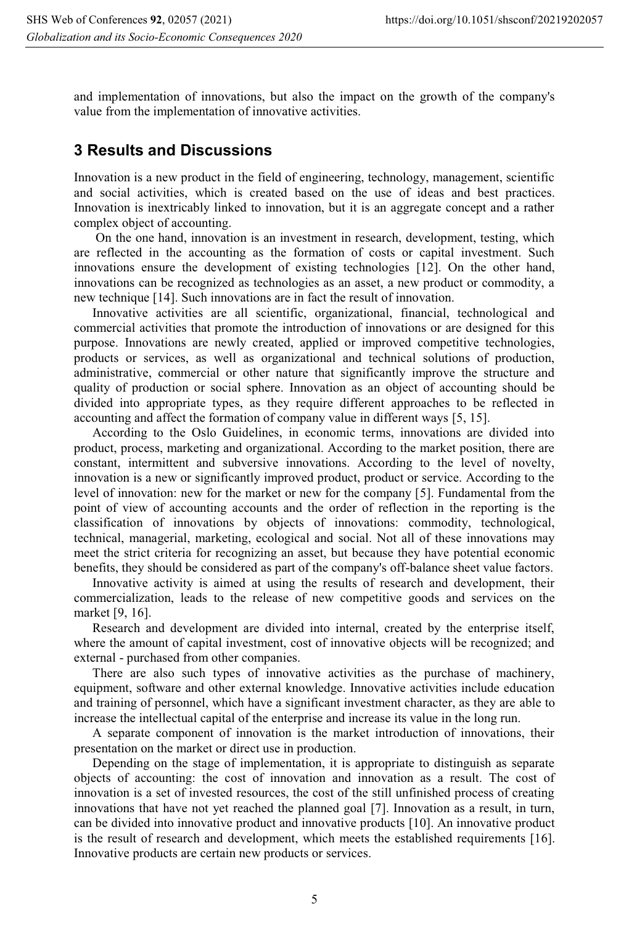and implementation of innovations, but also the impact on the growth of the company's value from the implementation of innovative activities.

## **3 Results and Discussions**

Innovation is a new product in the field of engineering, technology, management, scientific and social activities, which is created based on the use of ideas and best practices. Innovation is inextricably linked to innovation, but it is an aggregate concept and a rather complex object of accounting.

 On the one hand, innovation is an investment in research, development, testing, which are reflected in the accounting as the formation of costs or capital investment. Such innovations ensure the development of existing technologies [12]. On the other hand, innovations can be recognized as technologies as an asset, a new product or commodity, a new technique [14]. Such innovations are in fact the result of innovation.

Innovative activities are all scientific, organizational, financial, technological and commercial activities that promote the introduction of innovations or are designed for this purpose. Innovations are newly created, applied or improved competitive technologies, products or services, as well as organizational and technical solutions of production, administrative, commercial or other nature that significantly improve the structure and quality of production or social sphere. Innovation as an object of accounting should be divided into appropriate types, as they require different approaches to be reflected in accounting and affect the formation of company value in different ways [5, 15].

According to the Oslo Guidelines, in economic terms, innovations are divided into product, process, marketing and organizational. According to the market position, there are constant, intermittent and subversive innovations. According to the level of novelty, innovation is a new or significantly improved product, product or service. According to the level of innovation: new for the market or new for the company [5]. Fundamental from the point of view of accounting accounts and the order of reflection in the reporting is the classification of innovations by objects of innovations: commodity, technological, technical, managerial, marketing, ecological and social. Not all of these innovations may meet the strict criteria for recognizing an asset, but because they have potential economic benefits, they should be considered as part of the company's off-balance sheet value factors.

Innovative activity is aimed at using the results of research and development, their commercialization, leads to the release of new competitive goods and services on the market [9, 16].

Research and development are divided into internal, created by the enterprise itself, where the amount of capital investment, cost of innovative objects will be recognized; and external - purchased from other companies.

There are also such types of innovative activities as the purchase of machinery, equipment, software and other external knowledge. Innovative activities include education and training of personnel, which have a significant investment character, as they are able to increase the intellectual capital of the enterprise and increase its value in the long run.

A separate component of innovation is the market introduction of innovations, their presentation on the market or direct use in production.

Depending on the stage of implementation, it is appropriate to distinguish as separate objects of accounting: the cost of innovation and innovation as a result. The cost of innovation is a set of invested resources, the cost of the still unfinished process of creating innovations that have not yet reached the planned goal [7]. Innovation as a result, in turn, can be divided into innovative product and innovative products [10]. An innovative product is the result of research and development, which meets the established requirements [16]. Innovative products are certain new products or services.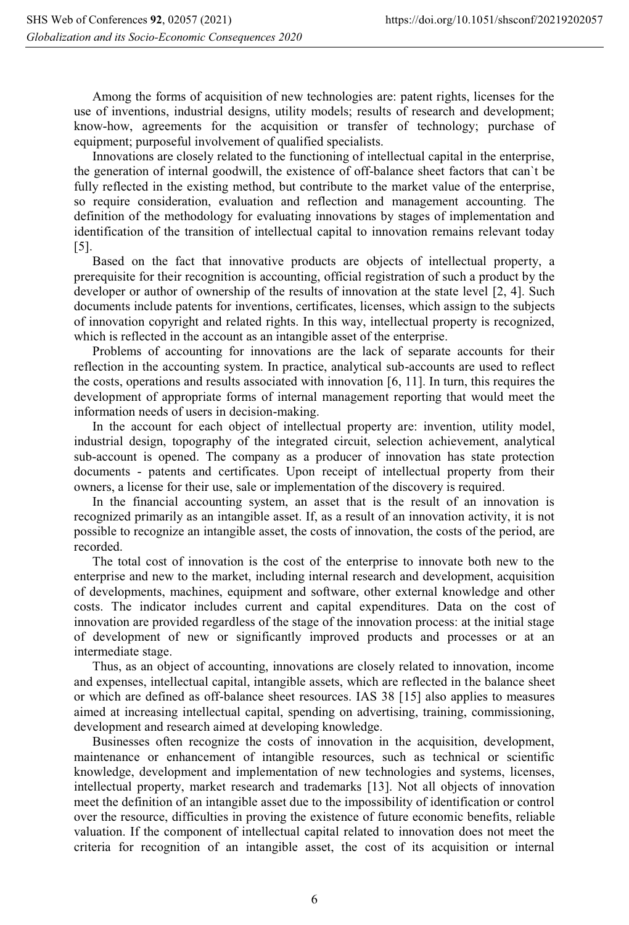Among the forms of acquisition of new technologies are: patent rights, licenses for the use of inventions, industrial designs, utility models; results of research and development; know-how, agreements for the acquisition or transfer of technology; purchase of equipment; purposeful involvement of qualified specialists.

Innovations are closely related to the functioning of intellectual capital in the enterprise, the generation of internal goodwill, the existence of off-balance sheet factors that can`t be fully reflected in the existing method, but contribute to the market value of the enterprise, so require consideration, evaluation and reflection and management accounting. The definition of the methodology for evaluating innovations by stages of implementation and identification of the transition of intellectual capital to innovation remains relevant today [5].

Based on the fact that innovative products are objects of intellectual property, a prerequisite for their recognition is accounting, official registration of such a product by the developer or author of ownership of the results of innovation at the state level [2, 4]. Such documents include patents for inventions, certificates, licenses, which assign to the subjects of innovation copyright and related rights. In this way, intellectual property is recognized, which is reflected in the account as an intangible asset of the enterprise.

Problems of accounting for innovations are the lack of separate accounts for their reflection in the accounting system. In practice, analytical sub-accounts are used to reflect the costs, operations and results associated with innovation [6, 11]. In turn, this requires the development of appropriate forms of internal management reporting that would meet the information needs of users in decision-making.

In the account for each object of intellectual property are: invention, utility model, industrial design, topography of the integrated circuit, selection achievement, analytical sub-account is opened. The company as a producer of innovation has state protection documents - patents and certificates. Upon receipt of intellectual property from their owners, a license for their use, sale or implementation of the discovery is required.

In the financial accounting system, an asset that is the result of an innovation is recognized primarily as an intangible asset. If, as a result of an innovation activity, it is not possible to recognize an intangible asset, the costs of innovation, the costs of the period, are recorded.

The total cost of innovation is the cost of the enterprise to innovate both new to the enterprise and new to the market, including internal research and development, acquisition of developments, machines, equipment and software, other external knowledge and other costs. The indicator includes current and capital expenditures. Data on the cost of innovation are provided regardless of the stage of the innovation process: at the initial stage of development of new or significantly improved products and processes or at an intermediate stage.

Thus, as an object of accounting, innovations are closely related to innovation, income and expenses, intellectual capital, intangible assets, which are reflected in the balance sheet or which are defined as off-balance sheet resources. IAS 38 [15] also applies to measures aimed at increasing intellectual capital, spending on advertising, training, commissioning, development and research aimed at developing knowledge.

Businesses often recognize the costs of innovation in the acquisition, development, maintenance or enhancement of intangible resources, such as technical or scientific knowledge, development and implementation of new technologies and systems, licenses, intellectual property, market research and trademarks [13]. Not all objects of innovation meet the definition of an intangible asset due to the impossibility of identification or control over the resource, difficulties in proving the existence of future economic benefits, reliable valuation. If the component of intellectual capital related to innovation does not meet the criteria for recognition of an intangible asset, the cost of its acquisition or internal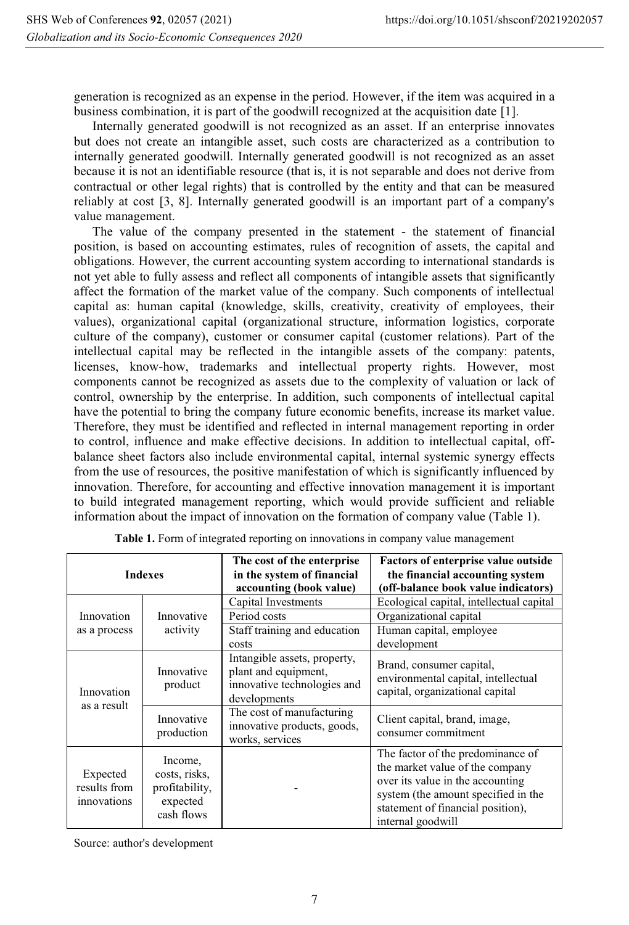generation is recognized as an expense in the period. However, if the item was acquired in a business combination, it is part of the goodwill recognized at the acquisition date [1].

Internally generated goodwill is not recognized as an asset. If an enterprise innovates but does not create an intangible asset, such costs are characterized as a contribution to internally generated goodwill. Internally generated goodwill is not recognized as an asset because it is not an identifiable resource (that is, it is not separable and does not derive from contractual or other legal rights) that is controlled by the entity and that can be measured reliably at cost [3, 8]. Internally generated goodwill is an important part of a company's value management.

The value of the company presented in the statement - the statement of financial position, is based on accounting estimates, rules of recognition of assets, the capital and obligations. However, the current accounting system according to international standards is not yet able to fully assess and reflect all components of intangible assets that significantly affect the formation of the market value of the company. Such components of intellectual capital as: human capital (knowledge, skills, creativity, creativity of employees, their values), organizational capital (organizational structure, information logistics, corporate culture of the company), customer or consumer capital (customer relations). Part of the intellectual capital may be reflected in the intangible assets of the company: patents, licenses, know-how, trademarks and intellectual property rights. However, most components cannot be recognized as assets due to the complexity of valuation or lack of control, ownership by the enterprise. In addition, such components of intellectual capital have the potential to bring the company future economic benefits, increase its market value. Therefore, they must be identified and reflected in internal management reporting in order to control, influence and make effective decisions. In addition to intellectual capital, offbalance sheet factors also include environmental capital, internal systemic synergy effects from the use of resources, the positive manifestation of which is significantly influenced by innovation. Therefore, for accounting and effective innovation management it is important to build integrated management reporting, which would provide sufficient and reliable information about the impact of innovation on the formation of company value (Table 1).

| <b>Indexes</b>                          |                                                                      | The cost of the enterprise<br>in the system of financial<br>accounting (book value)                 | Factors of enterprise value outside<br>the financial accounting system<br>(off-balance book value indicators)                                                                                             |
|-----------------------------------------|----------------------------------------------------------------------|-----------------------------------------------------------------------------------------------------|-----------------------------------------------------------------------------------------------------------------------------------------------------------------------------------------------------------|
| Innovation<br>as a process              | Innovative<br>activity                                               | Capital Investments<br>Period costs                                                                 | Ecological capital, intellectual capital<br>Organizational capital                                                                                                                                        |
|                                         |                                                                      | Staff training and education<br>costs                                                               | Human capital, employee<br>development                                                                                                                                                                    |
| Innovation<br>as a result               | Innovative<br>product                                                | Intangible assets, property,<br>plant and equipment,<br>innovative technologies and<br>developments | Brand, consumer capital,<br>environmental capital, intellectual<br>capital, organizational capital                                                                                                        |
|                                         | Innovative<br>production                                             | The cost of manufacturing<br>innovative products, goods,<br>works, services                         | Client capital, brand, image,<br>consumer commitment                                                                                                                                                      |
| Expected<br>results from<br>innovations | Income,<br>costs, risks,<br>profitability,<br>expected<br>cash flows |                                                                                                     | The factor of the predominance of<br>the market value of the company<br>over its value in the accounting<br>system (the amount specified in the<br>statement of financial position),<br>internal goodwill |

**Table 1.** Form of integrated reporting on innovations in company value management

Source: author's development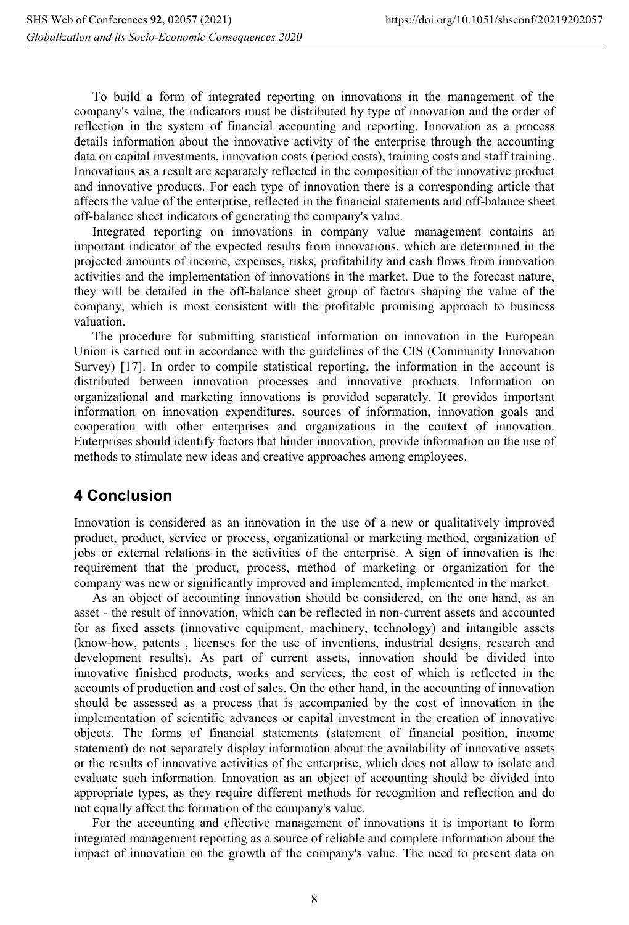To build a form of integrated reporting on innovations in the management of the company's value, the indicators must be distributed by type of innovation and the order of reflection in the system of financial accounting and reporting. Innovation as a process details information about the innovative activity of the enterprise through the accounting data on capital investments, innovation costs (period costs), training costs and staff training. Innovations as a result are separately reflected in the composition of the innovative product and innovative products. For each type of innovation there is a corresponding article that affects the value of the enterprise, reflected in the financial statements and off-balance sheet off-balance sheet indicators of generating the company's value.

Integrated reporting on innovations in company value management contains an important indicator of the expected results from innovations, which are determined in the projected amounts of income, expenses, risks, profitability and cash flows from innovation activities and the implementation of innovations in the market. Due to the forecast nature, they will be detailed in the off-balance sheet group of factors shaping the value of the company, which is most consistent with the profitable promising approach to business valuation.

The procedure for submitting statistical information on innovation in the European Union is carried out in accordance with the guidelines of the CIS (Community Innovation Survey) [17]. In order to compile statistical reporting, the information in the account is distributed between innovation processes and innovative products. Information on organizational and marketing innovations is provided separately. It provides important information on innovation expenditures, sources of information, innovation goals and cooperation with other enterprises and organizations in the context of innovation. Enterprises should identify factors that hinder innovation, provide information on the use of methods to stimulate new ideas and creative approaches among employees.

## **4 Conclusion**

Innovation is considered as an innovation in the use of a new or qualitatively improved product, product, service or process, organizational or marketing method, organization of jobs or external relations in the activities of the enterprise. A sign of innovation is the requirement that the product, process, method of marketing or organization for the company was new or significantly improved and implemented, implemented in the market.

As an object of accounting innovation should be considered, on the one hand, as an asset - the result of innovation, which can be reflected in non-current assets and accounted for as fixed assets (innovative equipment, machinery, technology) and intangible assets (know-how, patents , licenses for the use of inventions, industrial designs, research and development results). As part of current assets, innovation should be divided into innovative finished products, works and services, the cost of which is reflected in the accounts of production and cost of sales. On the other hand, in the accounting of innovation should be assessed as a process that is accompanied by the cost of innovation in the implementation of scientific advances or capital investment in the creation of innovative objects. The forms of financial statements (statement of financial position, income statement) do not separately display information about the availability of innovative assets or the results of innovative activities of the enterprise, which does not allow to isolate and evaluate such information. Innovation as an object of accounting should be divided into appropriate types, as they require different methods for recognition and reflection and do not equally affect the formation of the company's value.

For the accounting and effective management of innovations it is important to form integrated management reporting as a source of reliable and complete information about the impact of innovation on the growth of the company's value. The need to present data on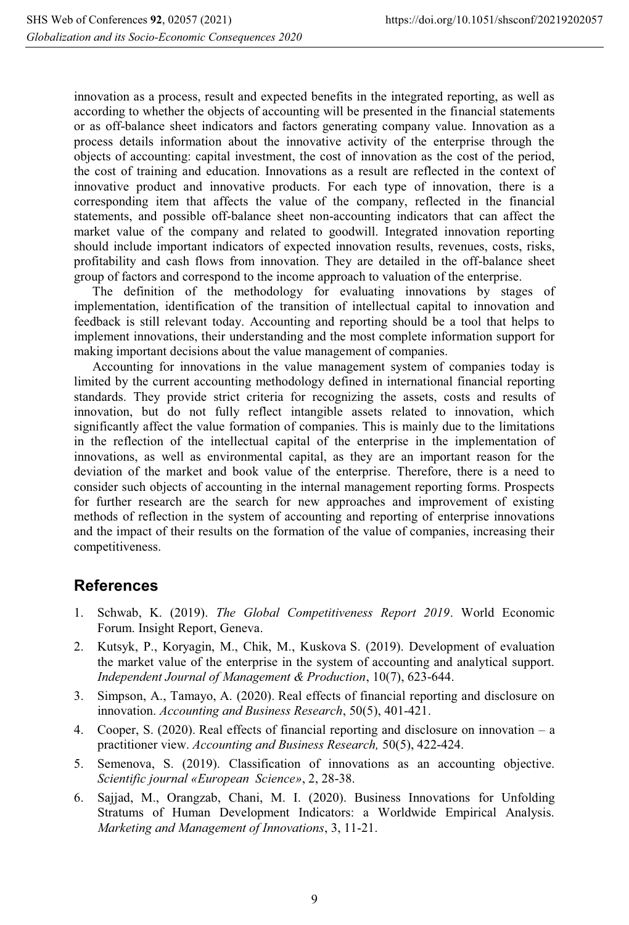innovation as a process, result and expected benefits in the integrated reporting, as well as according to whether the objects of accounting will be presented in the financial statements or as off-balance sheet indicators and factors generating company value. Innovation as a process details information about the innovative activity of the enterprise through the objects of accounting: capital investment, the cost of innovation as the cost of the period, the cost of training and education. Innovations as a result are reflected in the context of innovative product and innovative products. For each type of innovation, there is a corresponding item that affects the value of the company, reflected in the financial statements, and possible off-balance sheet non-accounting indicators that can affect the market value of the company and related to goodwill. Integrated innovation reporting should include important indicators of expected innovation results, revenues, costs, risks, profitability and cash flows from innovation. They are detailed in the off-balance sheet group of factors and correspond to the income approach to valuation of the enterprise.

The definition of the methodology for evaluating innovations by stages of implementation, identification of the transition of intellectual capital to innovation and feedback is still relevant today. Accounting and reporting should be a tool that helps to implement innovations, their understanding and the most complete information support for making important decisions about the value management of companies.

Accounting for innovations in the value management system of companies today is limited by the current accounting methodology defined in international financial reporting standards. They provide strict criteria for recognizing the assets, costs and results of innovation, but do not fully reflect intangible assets related to innovation, which significantly affect the value formation of companies. This is mainly due to the limitations in the reflection of the intellectual capital of the enterprise in the implementation of innovations, as well as environmental capital, as they are an important reason for the deviation of the market and book value of the enterprise. Therefore, there is a need to consider such objects of accounting in the internal management reporting forms. Prospects for further research are the search for new approaches and improvement of existing methods of reflection in the system of accounting and reporting of enterprise innovations and the impact of their results on the formation of the value of companies, increasing their competitiveness.

## **References**

- 1. Schwab, K. (2019). *The Global Competitiveness Report 2019*. World Economic Forum. Insight Report, Geneva.
- 2. Kutsyk, P., Koryagin, M., Chik, M., Kuskova S. (2019). Development of evaluation the market value of the enterprise in the system of accounting and analytical support. *Independent Journal of Management & Production*, 10(7), 623-644.
- 3. Simpson, A., Tamayo, A. (2020). Real effects of financial reporting and disclosure on innovation. *Accounting and Business Research*, 50(5), 401-421.
- 4. Cooper, S. (2020). Real effects of financial reporting and disclosure on innovation a practitioner view. *Accounting and Business Research,* 50(5), 422-424.
- 5. Semenova, S. (2019). Classification of innovations as an accounting objective. *Scientific journal «European Science»*, 2, 28-38.
- 6. Sajjad, M., Orangzab, Chani, M. I. (2020). Business Innovations for Unfolding Stratums of Human Development Indicators: a Worldwide Empirical Analysis. *Marketing and Management of Innovations*, 3, 11-21.